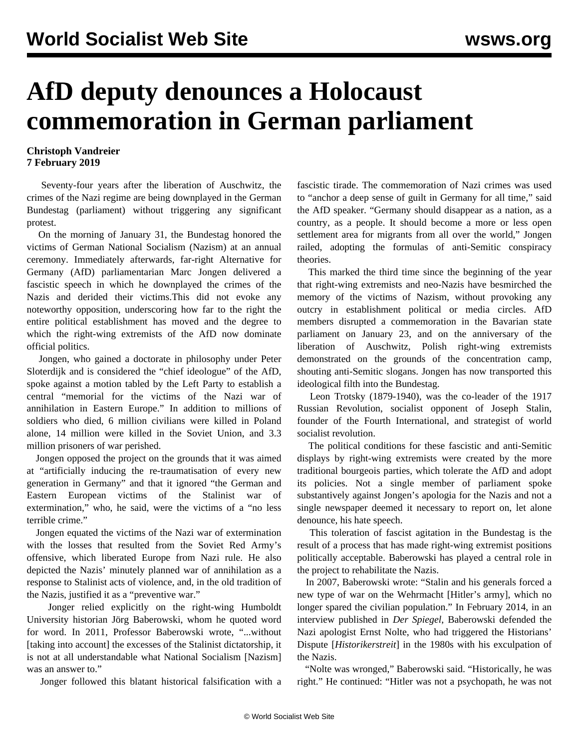## **AfD deputy denounces a Holocaust commemoration in German parliament**

## **Christoph Vandreier 7 February 2019**

 Seventy-four years after the liberation of Auschwitz, the crimes of the Nazi regime are being downplayed in the German Bundestag (parliament) without triggering any significant protest.

 On the morning of January 31, the Bundestag honored the victims of German National Socialism (Nazism) at an annual ceremony. Immediately afterwards, far-right Alternative for Germany (AfD) parliamentarian Marc Jongen delivered a fascistic speech in which he downplayed the crimes of the Nazis and derided their victims.This did not evoke any noteworthy opposition, underscoring how far to the right the entire political establishment has moved and the degree to which the right-wing extremists of the AfD now dominate official politics.

 Jongen, who gained a doctorate in philosophy under Peter Sloterdijk and is considered the "chief ideologue" of the AfD, spoke against a motion tabled by the Left Party to establish a central "memorial for the victims of the Nazi war of annihilation in Eastern Europe." In addition to millions of soldiers who died, 6 million civilians were killed in Poland alone, 14 million were killed in the Soviet Union, and 3.3 million prisoners of war perished.

 Jongen opposed the project on the grounds that it was aimed at "artificially inducing the re-traumatisation of every new generation in Germany" and that it ignored "the German and Eastern European victims of the Stalinist war of extermination," who, he said, were the victims of a "no less terrible crime."

 Jongen equated the victims of the Nazi war of extermination with the losses that resulted from the Soviet Red Army's offensive, which liberated Europe from Nazi rule. He also depicted the Nazis' minutely planned war of annihilation as a response to Stalinist acts of violence, and, in the old tradition of the Nazis, justified it as a "preventive war."

 Jonger relied explicitly on the right-wing Humboldt University historian Jörg Baberowski, whom he quoted word for word. In 2011, Professor Baberowski wrote, "...without [taking into account] the excesses of the Stalinist dictatorship, it is not at all understandable what National Socialism [Nazism] was an answer to."

Jonger followed this blatant historical falsification with a

fascistic tirade. The commemoration of Nazi crimes was used to "anchor a deep sense of guilt in Germany for all time," said the AfD speaker. "Germany should disappear as a nation, as a country, as a people. It should become a more or less open settlement area for migrants from all over the world," Jongen railed, adopting the formulas of anti-Semitic conspiracy theories.

 This marked the third time since the beginning of the year that right-wing extremists and neo-Nazis have besmirched the memory of the victims of Nazism, without provoking any outcry in establishment political or media circles. AfD members [disrupted](/en/articles/2019/01/26/pers-j26.html) a commemoration in the Bavarian state parliament on January 23, and on the anniversary of the liberation of Auschwitz, Polish right-wing extremists [demonstrated](/en/articles/2019/01/31/pers-j31.html) on the grounds of the concentration camp, shouting anti-Semitic slogans. Jongen has now transported this ideological filth into the Bundestag.

 Leon Trotsky (1879-1940), was the co-leader of the 1917 Russian Revolution, socialist opponent of Joseph Stalin, founder of the Fourth International, and strategist of world socialist revolution.

 The political conditions for these fascistic and anti-Semitic displays by right-wing extremists were created by the more traditional bourgeois parties, which tolerate the AfD and adopt its policies. Not a single member of parliament spoke substantively against Jongen's apologia for the Nazis and not a single newspaper deemed it necessary to report on, let alone denounce, his hate speech.

 This toleration of fascist agitation in the Bundestag is the result of a process that has made right-wing extremist positions politically acceptable. Baberowski has played a central role in the project to rehabilitate the Nazis.

 In 2007, Baberowski wrote: "Stalin and his generals forced a new type of war on the Wehrmacht [Hitler's army], which no longer spared the civilian population." In February 2014, in an interview published in *Der Spiegel*, Baberowski defended the Nazi apologist Ernst Nolte, who had triggered the Historians' Dispute [*Historikerstreit*] in the 1980s with his exculpation of the Nazis.

 "Nolte was wronged," Baberowski said. "Historically, he was right." He continued: "Hitler was not a psychopath, he was not